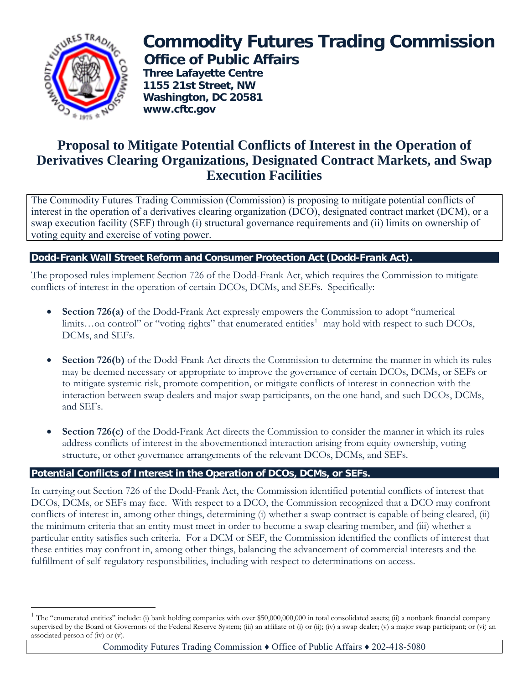

 $\overline{a}$ 

# **Commodity Futures Trading Commission Office of Public Affairs**

 **Three Lafayette Centre 1155 21st Street, NW Washington, DC 20581 www.cftc.gov**

# **Proposal to Mitigate Potential Conflicts of Interest in the Operation of Derivatives Clearing Organizations, Designated Contract Markets, and Swap Execution Facilities**

The Commodity Futures Trading Commission (Commission) is proposing to mitigate potential conflicts of interest in the operation of a derivatives clearing organization (DCO), designated contract market (DCM), or a swap execution facility (SEF) through (i) structural governance requirements and (ii) limits on ownership of voting equity and exercise of voting power.

# **Dodd-Frank Wall Street Reform and Consumer Protection Act (Dodd-Frank Act).**

The proposed rules implement Section 726 of the Dodd-Frank Act, which requires the Commission to mitigate conflicts of interest in the operation of certain DCOs, DCMs, and SEFs. Specifically:

- **Section 726(a)** of the Dodd-Frank Act expressly empowers the Commission to adopt "numerical limits...on control" or "voting rights" that enumerated entities<sup>[1](#page-0-0)</sup> may hold with respect to such DCOs, DCMs, and SEFs.
- **Section 726(b)** of the Dodd-Frank Act directs the Commission to determine the manner in which its rules may be deemed necessary or appropriate to improve the governance of certain DCOs, DCMs, or SEFs or to mitigate systemic risk, promote competition, or mitigate conflicts of interest in connection with the interaction between swap dealers and major swap participants, on the one hand, and such DCOs, DCMs, and SEFs.
- **Section 726(c)** of the Dodd-Frank Act directs the Commission to consider the manner in which its rules address conflicts of interest in the abovementioned interaction arising from equity ownership, voting structure, or other governance arrangements of the relevant DCOs, DCMs, and SEFs.

## **Potential Conflicts of Interest in the Operation of DCOs, DCMs, or SEFs.**

In carrying out Section 726 of the Dodd-Frank Act, the Commission identified potential conflicts of interest that DCOs, DCMs, or SEFs may face. With respect to a DCO, the Commission recognized that a DCO may confront conflicts of interest in, among other things, determining (i) whether a swap contract is capable of being cleared, (ii) the minimum criteria that an entity must meet in order to become a swap clearing member, and (iii) whether a particular entity satisfies such criteria. For a DCM or SEF, the Commission identified the conflicts of interest that these entities may confront in, among other things, balancing the advancement of commercial interests and the fulfillment of self-regulatory responsibilities, including with respect to determinations on access.

<span id="page-0-0"></span><sup>&</sup>lt;sup>1</sup> The "enumerated entities" include: (i) bank holding companies with over \$50,000,000,000 in total consolidated assets; (ii) a nonbank financial company supervised by the Board of Governors of the Federal Reserve System; (iii) an affiliate of (i) or (ii); (iv) a swap dealer; (v) a major swap participant; or (vi) an associated person of (iv) or (v).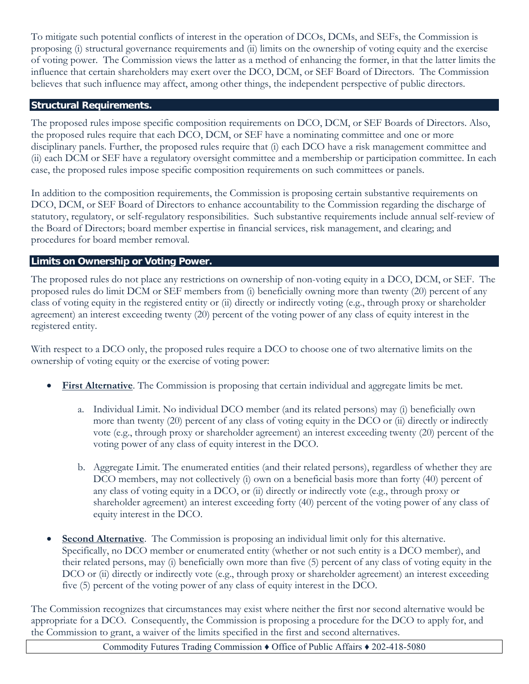To mitigate such potential conflicts of interest in the operation of DCOs, DCMs, and SEFs, the Commission is proposing (i) structural governance requirements and (ii) limits on the ownership of voting equity and the exercise of voting power. The Commission views the latter as a method of enhancing the former, in that the latter limits the influence that certain shareholders may exert over the DCO, DCM, or SEF Board of Directors. The Commission believes that such influence may affect, among other things, the independent perspective of public directors.

### **Structural Requirements.**

The proposed rules impose specific composition requirements on DCO, DCM, or SEF Boards of Directors. Also, the proposed rules require that each DCO, DCM, or SEF have a nominating committee and one or more disciplinary panels. Further, the proposed rules require that (i) each DCO have a risk management committee and (ii) each DCM or SEF have a regulatory oversight committee and a membership or participation committee. In each case, the proposed rules impose specific composition requirements on such committees or panels.

In addition to the composition requirements, the Commission is proposing certain substantive requirements on DCO, DCM, or SEF Board of Directors to enhance accountability to the Commission regarding the discharge of statutory, regulatory, or self-regulatory responsibilities. Such substantive requirements include annual self-review of the Board of Directors; board member expertise in financial services, risk management, and clearing; and procedures for board member removal.

### **Limits on Ownership or Voting Power.**

The proposed rules do not place any restrictions on ownership of non-voting equity in a DCO, DCM, or SEF. The proposed rules do limit DCM or SEF members from (i) beneficially owning more than twenty (20) percent of any class of voting equity in the registered entity or (ii) directly or indirectly voting (e.g., through proxy or shareholder agreement) an interest exceeding twenty (20) percent of the voting power of any class of equity interest in the registered entity.

With respect to a DCO only, the proposed rules require a DCO to choose one of two alternative limits on the ownership of voting equity or the exercise of voting power:

- **First Alternative**. The Commission is proposing that certain individual and aggregate limits be met.
	- a. Individual Limit. No individual DCO member (and its related persons) may (i) beneficially own more than twenty (20) percent of any class of voting equity in the DCO or (ii) directly or indirectly vote (e.g., through proxy or shareholder agreement) an interest exceeding twenty (20) percent of the voting power of any class of equity interest in the DCO.
	- b. Aggregate Limit. The enumerated entities (and their related persons), regardless of whether they are DCO members, may not collectively (i) own on a beneficial basis more than forty (40) percent of any class of voting equity in a DCO, or (ii) directly or indirectly vote (e.g., through proxy or shareholder agreement) an interest exceeding forty (40) percent of the voting power of any class of equity interest in the DCO.
- **Second Alternative**. The Commission is proposing an individual limit only for this alternative. Specifically, no DCO member or enumerated entity (whether or not such entity is a DCO member), and their related persons, may (i) beneficially own more than five (5) percent of any class of voting equity in the DCO or (ii) directly or indirectly vote (e.g., through proxy or shareholder agreement) an interest exceeding five (5) percent of the voting power of any class of equity interest in the DCO.

The Commission recognizes that circumstances may exist where neither the first nor second alternative would be appropriate for a DCO. Consequently, the Commission is proposing a procedure for the DCO to apply for, and the Commission to grant, a waiver of the limits specified in the first and second alternatives.